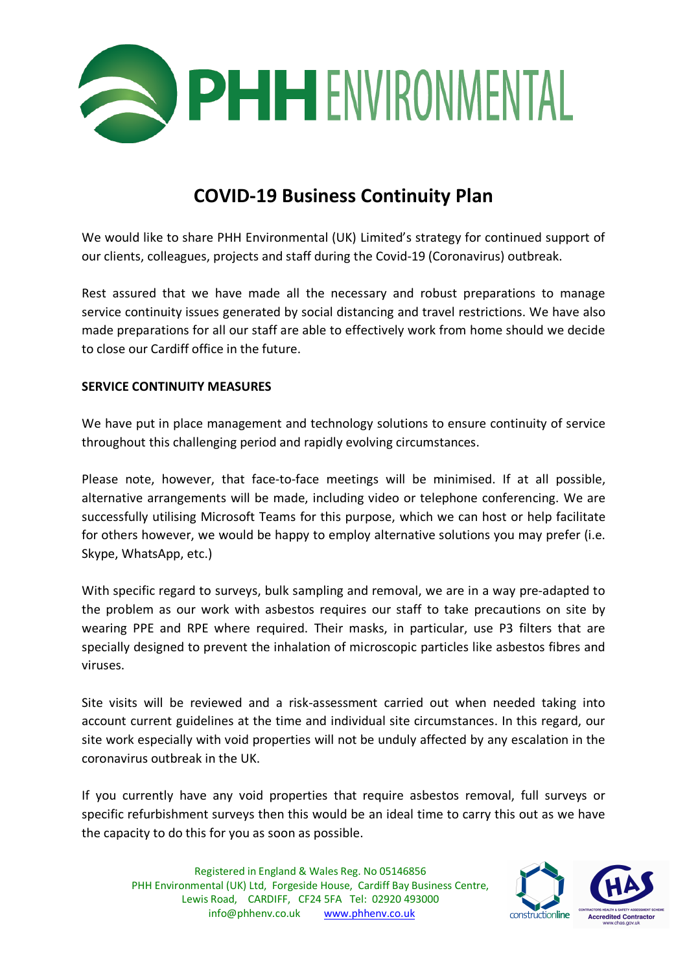

## **COVID-19 Business Continuity Plan**

We would like to share PHH Environmental (UK) Limited's strategy for continued support of our clients, colleagues, projects and staff during the Covid-19 (Coronavirus) outbreak.

Rest assured that we have made all the necessary and robust preparations to manage service continuity issues generated by social distancing and travel restrictions. We have also made preparations for all our staff are able to effectively work from home should we decide to close our Cardiff office in the future.

## **SERVICE CONTINUITY MEASURES**

We have put in place management and technology solutions to ensure continuity of service throughout this challenging period and rapidly evolving circumstances.

Please note, however, that face-to-face meetings will be minimised. If at all possible, alternative arrangements will be made, including video or telephone conferencing. We are successfully utilising Microsoft Teams for this purpose, which we can host or help facilitate for others however, we would be happy to employ alternative solutions you may prefer (i.e. Skype, WhatsApp, etc.)

With specific regard to surveys, bulk sampling and removal, we are in a way pre-adapted to the problem as our work with asbestos requires our staff to take precautions on site by wearing PPE and RPE where required. Their masks, in particular, use P3 filters that are specially designed to prevent the inhalation of microscopic particles like asbestos fibres and viruses.

Site visits will be reviewed and a risk-assessment carried out when needed taking into account current guidelines at the time and individual site circumstances. In this regard, our site work especially with void properties will not be unduly affected by any escalation in the coronavirus outbreak in the UK.

If you currently have any void properties that require asbestos removal, full surveys or specific refurbishment surveys then this would be an ideal time to carry this out as we have the capacity to do this for you as soon as possible.

Registered in England & Wales Reg. No 05146856 PHH Environmental (UK) Ltd, Forgeside House, Cardiff Bay Business Centre, Lewis Road, CARDIFF, CF24 5FA Tel: 02920 493000 info@phhenv.co.uk www.phhenv.co.uk

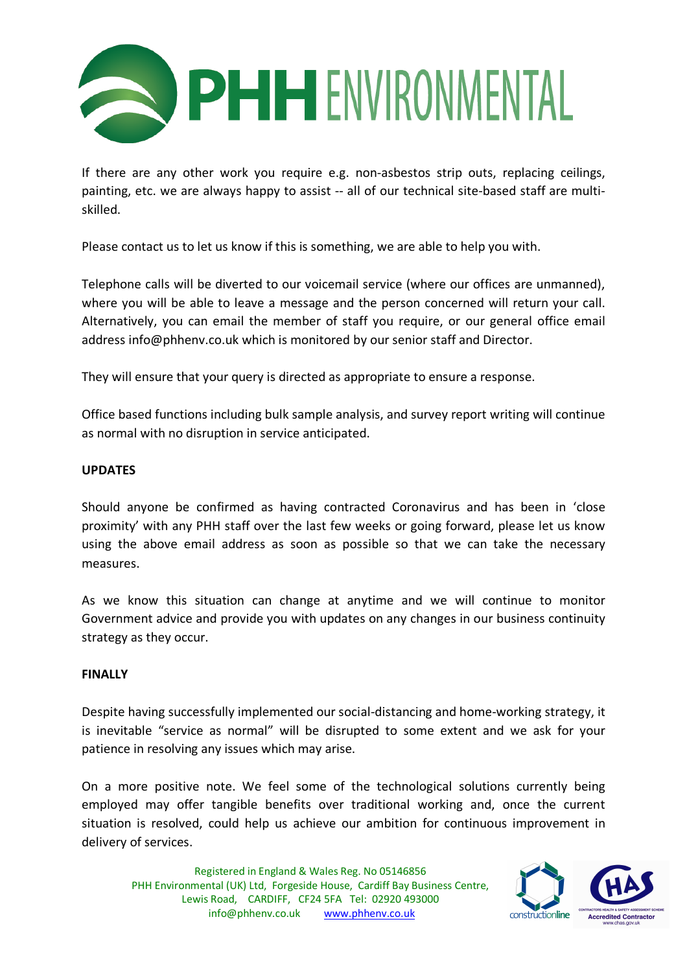

If there are any other work you require e.g. non-asbestos strip outs, replacing ceilings, painting, etc. we are always happy to assist -- all of our technical site-based staff are multiskilled.

Please contact us to let us know if this is something, we are able to help you with.

Telephone calls will be diverted to our voicemail service (where our offices are unmanned), where you will be able to leave a message and the person concerned will return your call. Alternatively, you can email the member of staff you require, or our general office email address info@phhenv.co.uk which is monitored by our senior staff and Director.

They will ensure that your query is directed as appropriate to ensure a response.

Office based functions including bulk sample analysis, and survey report writing will continue as normal with no disruption in service anticipated.

## **UPDATES**

Should anyone be confirmed as having contracted Coronavirus and has been in 'close proximity' with any PHH staff over the last few weeks or going forward, please let us know using the above email address as soon as possible so that we can take the necessary measures.

As we know this situation can change at anytime and we will continue to monitor Government advice and provide you with updates on any changes in our business continuity strategy as they occur.

## **FINALLY**

Despite having successfully implemented our social-distancing and home-working strategy, it is inevitable "service as normal" will be disrupted to some extent and we ask for your patience in resolving any issues which may arise.

On a more positive note. We feel some of the technological solutions currently being employed may offer tangible benefits over traditional working and, once the current situation is resolved, could help us achieve our ambition for continuous improvement in delivery of services.

Registered in England & Wales Reg. No 05146856 PHH Environmental (UK) Ltd, Forgeside House, Cardiff Bay Business Centre, Lewis Road, CARDIFF, CF24 5FA Tel: 02920 493000 info@phhenv.co.uk www.phhenv.co.uk